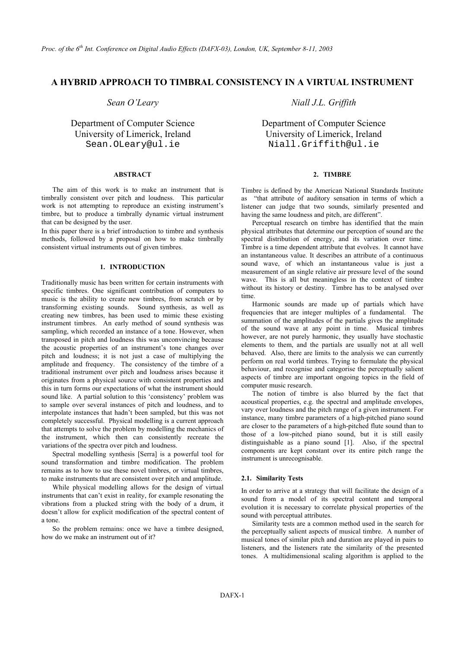# **A HYBRID APPROACH TO TIMBRAL CONSISTENCY IN A VIRTUAL INSTRUMENT**

University of Limerick, Ireland University of Limerick, Ireland

## **ABSTRACT 2. TIMBRE**

The aim of this work is to make an instrument that is timbrally consistent over pitch and loudness. This particular work is not attempting to reproduce an existing instrument's timbre, but to produce a timbrally dynamic virtual instrument that can be designed by the user.

In this paper there is a brief introduction to timbre and synthesis methods, followed by a proposal on how to make timbrally consistent virtual instruments out of given timbres.

## **1. INTRODUCTION**

Traditionally music has been written for certain instruments with specific timbres. One significant contribution of computers to music is the ability to create new timbres, from scratch or by transforming existing sounds. Sound synthesis, as well as creating new timbres, has been used to mimic these existing instrument timbres. An early method of sound synthesis was sampling, which recorded an instance of a tone. However, when transposed in pitch and loudness this was unconvincing because the acoustic properties of an instrument's tone changes over pitch and loudness; it is not just a case of multiplying the amplitude and frequency. The consistency of the timbre of a traditional instrument over pitch and loudness arises because it originates from a physical source with consistent properties and this in turn forms our expectations of what the instrument should sound like. A partial solution to this 'consistency' problem was to sample over several instances of pitch and loudness, and to interpolate instances that hadn't been sampled, but this was not completely successful. Physical modelling is a current approach that attempts to solve the problem by modelling the mechanics of the instrument, which then can consistently recreate the variations of the spectra over pitch and loudness.

Spectral modelling synthesis [Serra] is a powerful tool for components are kept constant that the spectral model instrument is unrecognisable. sound transformation and timbre modification. The problem remains as to how to use these novel timbres, or virtual timbres, to make instruments that are consistent over pitch and amplitude. **2.1. Similarity Tests** 

While physical modelling allows for the design of virtual instruments that can't exist in reality, for example resonating the vibrations from a plucked string with the body of a drum, it doesn't allow for explicit modification of the spectral content of a tone.

So the problem remains: once we have a timbre designed, how do we make an instrument out of it?

*Sean O'Leary Niall J.L. Griffith* 

Department of Computer Science Department of Computer Science Sean.OLeary@ul.ie Niall.Griffith@ul.ie

Timbre is defined by the American National Standards Institute as "that attribute of auditory sensation in terms of which a listener can judge that two sounds, similarly presented and having the same loudness and pitch, are different".

Perceptual research on timbre has identified that the main physical attributes that determine our perception of sound are the spectral distribution of energy, and its variation over time. Timbre is a time dependent attribute that evolves. It cannot have an instantaneous value. It describes an attribute of a continuous sound wave, of which an instantaneous value is just a measurement of an single relative air pressure level of the sound wave. This is all but meaningless in the context of timbre without its history or destiny. Timbre has to be analysed over time.

Harmonic sounds are made up of partials which have frequencies that are integer multiples of a fundamental. The summation of the amplitudes of the partials gives the amplitude of the sound wave at any point in time. Musical timbres however, are not purely harmonic, they usually have stochastic elements to them, and the partials are usually not at all well behaved. Also, there are limits to the analysis we can currently perform on real world timbres. Trying to formulate the physical behaviour, and recognise and categorise the perceptually salient aspects of timbre are important ongoing topics in the field of computer music research.

The notion of timbre is also blurred by the fact that acoustical properties, e.g. the spectral and amplitude envelopes, vary over loudness and the pitch range of a given instrument. For instance, many timbre parameters of a high-pitched piano sound are closer to the parameters of a high-pitched flute sound than to those of a low-pitched piano sound, but it is still easily distinguishable as a piano sound [1]. Also, if the spectral components are kept constant over its entire pitch range the

In order to arrive at a strategy that will facilitate the design of a sound from a model of its spectral content and temporal evolution it is necessary to correlate physical properties of the sound with perceptual attributes.

Similarity tests are a common method used in the search for the perceptually salient aspects of musical timbre. A number of musical tones of similar pitch and duration are played in pairs to listeners, and the listeners rate the similarity of the presented tones. A multidimensional scaling algorithm is applied to the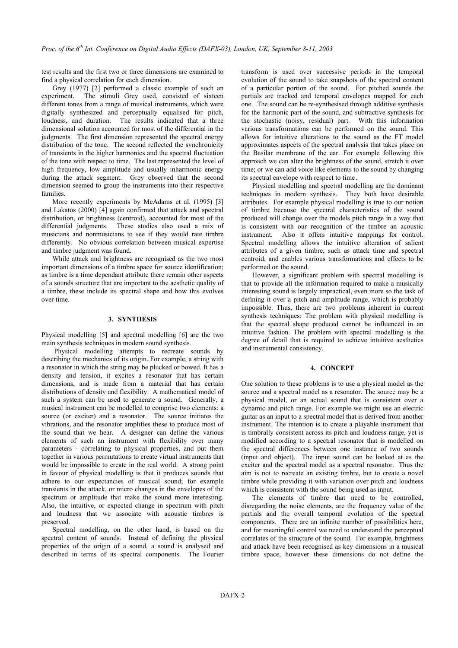test results and the first two or three dimensions are examined to find a physical correlation for each dimension.

Grey (1977) [2] performed a classic example of such an experiment. The stimuli Grey used, consisted of sixteen different tones from a range of musical instruments, which were digitally synthesized and perceptually equalised for pitch, loudness, and duration. The results indicated that a three dimensional solution accounted for most of the differential in the judgments. The first dimension represented the spectral energy distribution of the tone. The second reflected the synchronicity of transients in the higher harmonics and the spectral fluctuation of the tone with respect to time. The last represented the level of high frequency, low amplitude and usually inharmonic energy during the attack segment. Grey observed that the second dimension seemed to group the instruments into their respective families.

More recently experiments by McAdams et al. (1995) [3] and Lakatos (2000) [4] again confirmed that attack and spectral distribution, or brightness (centroid), accounted for most of the differential judgments. These studies also used a mix of musicians and nonmusicians to see if they would rate timbre differently. No obvious correlation between musical expertise and timbre judgment was found.

While attack and brightness are recognised as the two most important dimensions of a timbre space for source identification; as timbre is a time dependant attribute there remain other aspects of a sounds structure that are important to the aesthetic quality of a timbre, these include its spectral shape and how this evolves over time.

### **3. SYNTHESIS**

Physical modelling [5] and spectral modelling [6] are the two main synthesis techniques in modern sound synthesis.

Physical modelling attempts to recreate sounds by describing the mechanics of its origin. For example, a string with a resonator in which the string may be plucked or bowed. It has a density and tension, it excites a resonator that has certain dimensions, and is made from a material that has certain distributions of density and flexibility. A mathematical model of such a system can be used to generate a sound. Generally, a musical instrument can be modelled to comprise two elements: a source (or exciter) and a resonator. The source initiates the vibrations, and the resonator amplifies these to produce most of the sound that we hear. A designer can define the various elements of such an instrument with flexibility over many parameters - correlating to physical properties, and put them together in various permutations to create virtual instruments that would be impossible to create in the real world. A strong point in favour of physical modelling is that it produces sounds that adhere to our expectancies of musical sound; for example transients in the attack, or micro changes in the envelopes of the spectrum or amplitude that make the sound more interesting. Also, the intuitive, or expected change in spectrum with pitch and loudness that we associate with acoustic timbres is preserved.

Spectral modelling, on the other hand, is based on the spectral content of sounds. Instead of defining the physical properties of the origin of a sound, a sound is analysed and described in terms of its spectral components. The Fourier transform is used over successive periods in the temporal evolution of the sound to take snapshots of the spectral content of a particular portion of the sound. For pitched sounds the partials are tracked and temporal envelopes mapped for each one. The sound can be re-synthesised through additive synthesis for the harmonic part of the sound, and subtractive synthesis for the stochastic (noisy, residual) part. With this information various transformations can be performed on the sound. This allows for intuitive alterations to the sound as the FT model approximates aspects of the spectral analysis that takes place on the Basilar membrane of the ear. For example following this approach we can alter the brightness of the sound, stretch it over time; or we can add voice like elements to the sound by changing its spectral envelope with respect to time.

Physical modelling and spectral modelling are the dominant techniques in modern synthesis. They both have desirable attributes. For example physical modelling is true to our notion of timbre because the spectral characteristics of the sound produced will change over the models pitch range in a way that is consistent with our recognition of the timbre an acoustic instrument. Also it offers intuitive mappings for control. Spectral modelling allows the intuitive alteration of salient attributes of a given timbre, such as attack time and spectral centroid, and enables various transformations and effects to be performed on the sound.

However, a significant problem with spectral modelling is that to provide all the information required to make a musically interesting sound is largely impractical, even more so the task of defining it over a pitch and amplitude range, which is probably impossible. Thus, there are two problems inherent in current synthesis techniques: The problem with physical modelling is that the spectral shape produced cannot be influenced in an intuitive fashion. The problem with spectral modelling is the degree of detail that is required to achieve intuitive aesthetics and instrumental consistency.

## **4. CONCEPT**

One solution to these problems is to use a physical model as the source and a spectral model as a resonator. The source may be a physical model, or an actual sound that is consistent over a dynamic and pitch range. For example we might use an electric guitar as an input to a spectral model that is derived from another instrument. The intention is to create a playable instrument that is timbrally consistent across its pitch and loudness range, yet is modified according to a spectral resonator that is modelled on the spectral differences between one instance of two sounds (input and object). The input sound can be looked at as the exciter and the spectral model as a spectral resonator. Thus the aim is not to recreate an existing timbre, but to create a novel timbre while providing it with variation over pitch and loudness which is consistent with the sound being used as input.

The elements of timbre that need to be controlled, disregarding the noise elements, are the frequency value of the partials and the overall temporal evolution of the spectral components. There are an infinite number of possibilities here, and for meaningful control we need to understand the perceptual correlates of the structure of the sound. For example, brightness and attack have been recognised as key dimensions in a musical timbre space, however these dimensions do not define the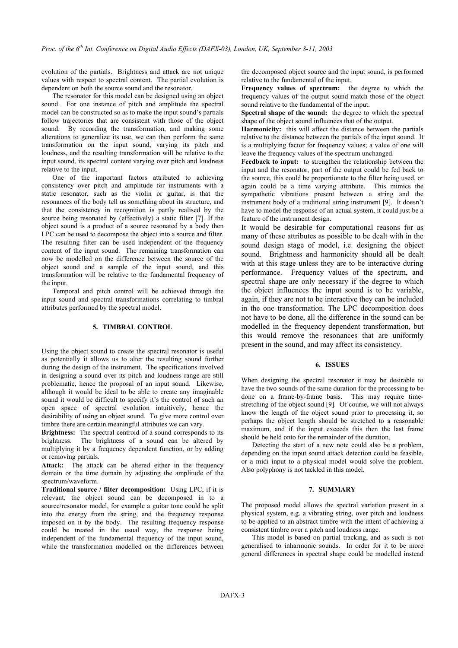evolution of the partials. Brightness and attack are not unique values with respect to spectral content. The partial evolution is dependent on both the source sound and the resonator.

The resonator for this model can be designed using an object sound. For one instance of pitch and amplitude the spectral model can be constructed so as to make the input sound's partials follow trajectories that are consistent with those of the object sound. By recording the transformation, and making some alterations to generalize its use, we can then perform the same transformation on the input sound, varying its pitch and loudness, and the resulting transformation will be relative to the input sound, its spectral content varying over pitch and loudness relative to the input.

One of the important factors attributed to achieving consistency over pitch and amplitude for instruments with a static resonator, such as the violin or guitar, is that the resonances of the body tell us something about its structure, and that the consistency in recognition is partly realised by the source being resonated by (effectively) a static filter [7]. If the object sound is a product of a source resonated by a body then LPC can be used to decompose the object into a source and filter. The resulting filter can be used independent of the frequency content of the input sound. The remaining transformation can now be modelled on the difference between the source of the object sound and a sample of the input sound, and this transformation will be relative to the fundamental frequency of the input.

Temporal and pitch control will be achieved through the input sound and spectral transformations correlating to timbral attributes performed by the spectral model.

# **5. TIMBRAL CONTROL**

Using the object sound to create the spectral resonator is useful as potentially it allows us to alter the resulting sound further during the design of the instrument. The specifications involved in designing a sound over its pitch and loudness range are still problematic, hence the proposal of an input sound. Likewise, although it would be ideal to be able to create any imaginable sound it would be difficult to specify it's the control of such an open space of spectral evolution intuitively, hence the desirability of using an object sound. To give more control over timbre there are certain meaningful attributes we can vary.

**Brightness:** The spectral centroid of a sound corresponds to its brightness. The brightness of a sound can be altered by multiplying it by a frequency dependent function, or by adding or removing partials.

**Attack:** The attack can be altered either in the frequency domain or the time domain by adjusting the amplitude of the spectrum/waveform.

**Traditional source / filter decomposition:** Using LPC, if it is relevant, the object sound can be decomposed in to a source/resonator model, for example a guitar tone could be split into the energy from the string, and the frequency response imposed on it by the body. The resulting frequency response could be treated in the usual way, the response being independent of the fundamental frequency of the input sound, while the transformation modelled on the differences between

the decomposed object source and the input sound, is performed relative to the fundamental of the input.

**Frequency values of spectrum:** the degree to which the frequency values of the output sound match those of the object sound relative to the fundamental of the input.

**Spectral shape of the sound:** the degree to which the spectral shape of the object sound influences that of the output.

**Harmonicity:** this will affect the distance between the partials relative to the distance between the partials of the input sound. It is a multiplying factor for frequency values; a value of one will leave the frequency values of the spectrum unchanged.

**Feedback to input:** to strengthen the relationship between the input and the resonator, part of the output could be fed back to the source, this could be proportionate to the filter being used, or again could be a time varying attribute. This mimics the sympathetic vibrations present between a string and the instrument body of a traditional string instrument [9]. It doesn't have to model the response of an actual system, it could just be a feature of the instrument design.

It would be desirable for computational reasons for as many of these attributes as possible to be dealt with in the sound design stage of model, i.e. designing the object sound. Brightness and harmonicity should all be dealt with at this stage unless they are to be interactive during performance. Frequency values of the spectrum, and spectral shape are only necessary if the degree to which the object influences the input sound is to be variable, again, if they are not to be interactive they can be included in the one transformation. The LPC decomposition does not have to be done, all the difference in the sound can be modelled in the frequency dependent transformation, but this would remove the resonances that are uniformly present in the sound, and may affect its consistency.

### **6. ISSUES**

When designing the spectral resonator it may be desirable to have the two sounds of the same duration for the processing to be done on a frame-by-frame basis. This may require timestretching of the object sound [9]. Of course, we will not always know the length of the object sound prior to processing it, so perhaps the object length should be stretched to a reasonable maximum, and if the input exceeds this then the last frame should be held onto for the remainder of the duration.

Detecting the start of a new note could also be a problem, depending on the input sound attack detection could be feasible, or a midi input to a physical model would solve the problem. Also polyphony is not tackled in this model.

### **7. SUMMARY**

The proposed model allows the spectral variation present in a physical system, e.g. a vibrating string, over pitch and loudness to be applied to an abstract timbre with the intent of achieving a consistent timbre over a pitch and loudness range.

This model is based on partial tracking, and as such is not generalised to inharmonic sounds. In order for it to be more general differences in spectral shape could be modelled instead